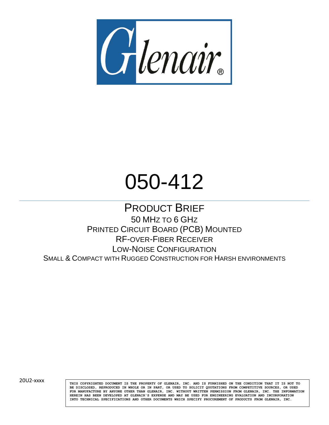

# 050-412

PRODUCT BRIEF 50 MHZ TO 6 GHZ PRINTED CIRCUIT BOARD (PCB) MOUNTED RF-OVER-FIBER RECEIVER LOW-NOISE CONFIGURATION SMALL & COMPACT WITH RUGGED CONSTRUCTION FOR HARSH ENVIRONMENTS

20U2-XXXX **THIS COPYRIGHTED DOCUMENT IS THE PROPERTY OF GLENAIR**, INC. AND IS FURNISHED ON THE CONDITION THAT IT IS NOT TO **BE DISCLOSED, REPRODUCED IN WHOLE OR IN PART, OR USED TO SOLICIT QUOTATIONS FROM COMPETITIVE SOURCES, OR USED FOR MANUFACTURE BY ANYONE OTHER THAN GLENAIR, INC. WITHOUT WRITTEN PERMISSION FROM GLENAIR, INC. THE INFORMATION HEREIN HAS BEEN DEVELOPED AT GLENAIR'S EXPENSE AND MAY BE USED FOR ENGINEERING EVALUATION AND INCORPORATION INTO TECHNICAL SPECIFICATIONS AND OTHER DOCUMENTS WHICH SPECIFY PROCUREMENT OF PRODUCTS FROM GLENAIR, INC.**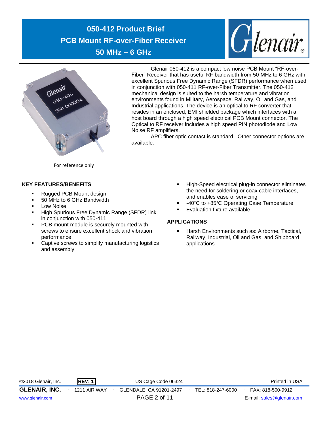



Glenair 050-412 is a compact low noise PCB Mount "RF-over-Fiber" Receiver that has useful RF bandwidth from 50 MHz to 6 GHz with excellent Spurious Free Dynamic Range (SFDR) performance when used in conjunction with 050-411 RF-over-Fiber Transmitter. The 050-412 mechanical design is suited to the harsh temperature and vibration environments found in Military, Aerospace, Railway, Oil and Gas, and Industrial applications. The device is an optical to RF converter that resides in an enclosed, EMI shielded package which interfaces with a host board through a high speed electrical PCB Mount connector. The Optical to RF receiver includes a high speed PIN photodiode and Low Noise RF amplifiers.

APC fiber optic contact is standard. Other connector options are available.

For reference only

## **KEY FEATURES/BENEFITS**

- Rugged PCB Mount design
- 50 MHz to 6 GHz Bandwidth
- **Low Noise**
- High Spurious Free Dynamic Range (SFDR) link in conjunction with 050-411
- PCB mount module is securely mounted with screws to ensure excellent shock and vibration performance
- Captive screws to simplify manufacturing logistics and assembly
- High-Speed electrical plug-in connector eliminates the need for soldering or coax cable interfaces, and enables ease of servicing
- -40°C to +85°C Operating Case Temperature
- **Evaluation fixture available**

## **APPLICATIONS**

Harsh Environments such as: Airborne, Tactical, Railway, Industrial, Oil and Gas, and Shipboard applications

©2018 Glenair, Inc. **REV: 1** US Cage Code 06324 Printed in USA **GLENAIR, INC.** ∙ 1211 AIR WAY ∙ GLENDALE, CA 91201-2497∙ TEL: 818-247-6000∙ FAX: 818-500-9912

[www.glenair.com](http://www.glenair.com/) PAGE 2 of 11 E-mail: [sales@glenair.com](mailto:sales@glenair.com)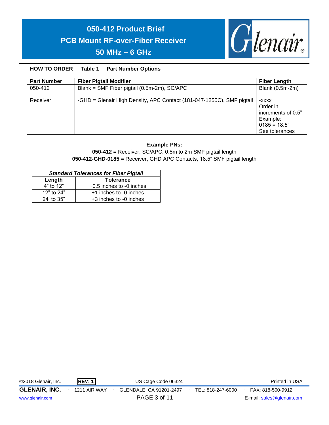

## **HOW TO ORDER Table 1 Part Number Options**

| <b>Part Number</b> | <b>Fiber Pigtail Modifier</b>                                         | <b>Fiber Length</b>                                                                     |
|--------------------|-----------------------------------------------------------------------|-----------------------------------------------------------------------------------------|
| 050-412            | Blank = SMF Fiber pigtail (0.5m-2m), SC/APC                           | Blank (0.5m-2m)                                                                         |
| Receiver           | -GHD = Glenair High Density, APC Contact (181-047-1255C), SMF pigtail | -XXXX<br>Order in<br>increments of 0.5"<br>Example:<br>$0185 = 18.5"$<br>See tolerances |

## **Example PNs:**

**050-412 =** Receiver, SC/APC, 0.5m to 2m SMF pigtail length **050-412-GHD-0185 =** Receiver, GHD APC Contacts, 18.5" SMF pigtail length

| <b>Standard Tolerances for Fiber Pigtail</b> |                          |  |  |  |  |  |
|----------------------------------------------|--------------------------|--|--|--|--|--|
| Length<br><b>Tolerance</b>                   |                          |  |  |  |  |  |
| 4" to 12"                                    | +0.5 inches to -0 inches |  |  |  |  |  |
| 12" to 24"                                   | +1 inches to -0 inches   |  |  |  |  |  |
| 24' to 35"                                   | +3 inches to -0 inches   |  |  |  |  |  |

| ©2018 Glenair, Inc.  | REV:1               | US Cage Code 06324      |                   | Printed in USA            |
|----------------------|---------------------|-------------------------|-------------------|---------------------------|
| <b>GLENAIR, INC.</b> | <b>1211 AIR WAY</b> | GLENDALE, CA 91201-2497 | TEL: 818-247-6000 | FAX: 818-500-9912         |
| www.glenair.com      |                     | PAGE 3 of 11            |                   | E-mail: sales@glenair.com |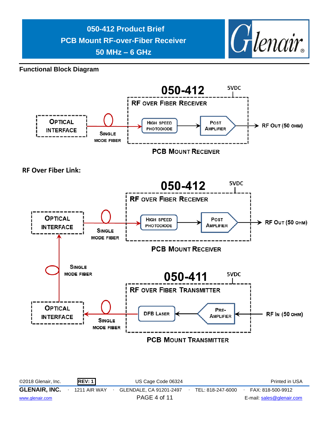

**Functional Block Diagram**

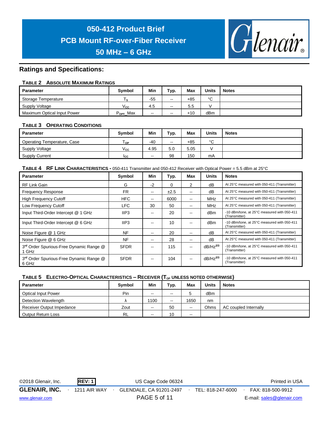

## **Ratings and Specifications:**

#### **TABLE 2 ABSOLUTE MAXIMUM RATINGS**

| Parameter                   | <b>Symbol</b>        | Min   | Typ.                     | Max   | <b>Units</b> | <b>Notes</b> |
|-----------------------------|----------------------|-------|--------------------------|-------|--------------|--------------|
| Storage Temperature         | ١s                   | $-55$ | $\sim$                   | +85   | $\circ$<br>◡ |              |
| Supply Voltage              | $\vee_{\mathsf{cc}}$ | 4.5   | $\overline{\phantom{a}}$ | 5.5   |              |              |
| Maximum Optical Input Power | $P_{\text{OPT}}$ Max | $-1$  | $\sim$                   | $+10$ | dBm          |              |

#### **TABLE 3 OPERATING CONDITIONS**

| <b>Parameter</b>            | <b>Symbol</b>        | Min                      | тур.  | <b>Max</b> | <b>Units</b> | <b>Notes</b> |
|-----------------------------|----------------------|--------------------------|-------|------------|--------------|--------------|
| Operating Temperature, Case | l op                 | -40                      | $- -$ | $+85$      | $\sim$       |              |
| Supply Voltage              | $\vee_{\mathbf{cc}}$ | 4.95                     | 5.0   | 5.05       |              |              |
| <b>Supply Current</b>       | Icc.                 | $\overline{\phantom{m}}$ | 98    | 150        | mA           |              |

**TABLE 4 RF LINK CHARACTERISTICS -** 050-411 Transmitter and 050-412 Receiver with Optical Power = 5.5 dBm at 25°C

| <b>Parameter</b>                                             | Symbol           | Min                      | Typ. | <b>Max</b>               | <b>Units</b>  | <b>Notes</b>                                                 |
|--------------------------------------------------------------|------------------|--------------------------|------|--------------------------|---------------|--------------------------------------------------------------|
| <b>RF Link Gain</b>                                          | G                | $-2$                     | 0    | 2                        | dB            | At 25°C measured with 050-411 (Transmitter)                  |
| <b>Frequency Response</b>                                    | FR               | $\overline{\phantom{a}}$ | ±2.5 | $\overline{\phantom{m}}$ | dB            | At 25°C measured with 050-411 (Transmitter)                  |
| <b>High Frequency Cutoff</b>                                 | <b>HFC</b>       | --                       | 6000 | $-$                      | <b>MHz</b>    | At 25°C measured with 050-411 (Transmitter)                  |
| Low Frequency Cutoff                                         | LFC.             | 30                       | 50   | $\overline{\phantom{m}}$ | MHz           | At 25°C measured with 050-411 (Transmitter)                  |
| Input Third-Order Intercept @ 1 GHz                          | IIP <sub>3</sub> | --                       | 20   | $\overline{\phantom{m}}$ | dBm           | -10 dBm/tone, at 25°C measured with 050-411<br>(Transmitter) |
| Input Third-Order Intercept @ 6 GHz                          | IIP3             | --                       | 10   | $- -$                    | dBm           | -10 dBm/tone, at 25°C measured with 050-411<br>(Transmitter) |
| Noise Figure @ 1 GHz                                         | NF               | --                       | 20   | $\overline{\phantom{m}}$ | dB            | At 25°C measured with 050-411 (Transmitter)                  |
| Noise Figure @ 6 GHz                                         | NF               | --                       | 28   | $- -$                    | dB            | At 25°C measured with 050-411 (Transmitter)                  |
| 3rd Order Spurious-Free Dynamic Range @<br>1 GHz             | <b>SFDR</b>      | --                       | 115  | $-$                      | $dB/Hz^{2/3}$ | -10 dBm/tone, at 25°C measured with 050-411<br>(Transmitter) |
| 3 <sup>rd</sup> Order Spurious-Free Dynamic Range @<br>6 GHz | <b>SFDR</b>      | --                       | 104  | $- -$                    | $dB/Hz^{2/3}$ | -10 dBm/tone, at 25°C measured with 050-411<br>(Transmitter) |

#### **TABLE 5 ELECTRO-OPTICAL CHARACTERISTICS – RECEIVER (TOP UNLESS NOTED OTHERWISE)**

| <b>Parameter</b>           | Symbol    | Min    | Typ.   | Max   | <b>Units</b> | <b>Notes</b>          |
|----------------------------|-----------|--------|--------|-------|--------------|-----------------------|
| <b>Optical Input Power</b> | Pin       | $- -$  | $\sim$ | э     | dBm          |                       |
| Detection Wavelength       |           | 1100   | $\sim$ | 1650  | nm           |                       |
| Receiver Output Impedance  | Zout      | $\sim$ | 50     | $- -$ | Ohms         | AC coupled Internally |
| <b>Output Return Loss</b>  | <b>RL</b> | --     | 10     | $- -$ |              |                       |

©2018 Glenair, Inc. **REV: 1** US Cage Code 06324 Printed in USA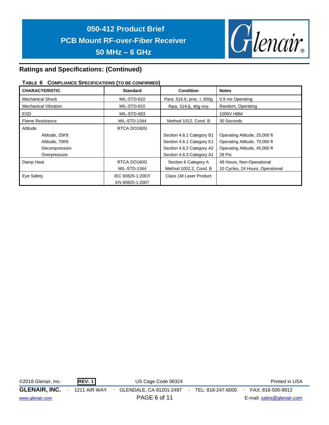

# **Ratings and Specifications: (Continued)**

## **TABLE 6 COMPLIANCE SPECIFICATIONS (TO BE CONFIRMED)**

| <b>CHARACTERISTIC</b>       | <b>Standard</b>     | <b>Condition</b>           | <b>Notes</b>                     |
|-----------------------------|---------------------|----------------------------|----------------------------------|
| Mechanical Shock            | MIL-STD-810         | Para. 516.6, proc. I, 650g | 0.9 ms Operating                 |
| <b>Mechanical Vibration</b> | MIL-STD-810         | Para. 514.6, 40g rms       | Random, Operating                |
| <b>ESD</b>                  | MIL-STD-883         |                            | 1000V HBM                        |
| <b>Flame Resistance</b>     | <b>MIL-STD-1344</b> | Method 1012, Cond. B       | 30 Seconds                       |
| Altitude                    | RTCA DO160G         |                            |                                  |
| Altitude, 25Kft             |                     | Section 4.6.1 Category B1  | Operating Altitude, 25,000 ft    |
| Altitude, 70Kft             |                     | Section 4.6.1 Category E1  | Operating Altitude, 70,000 ft    |
| Decompression               |                     | Section 4.6.2 Category A2  | Operating Altitude, 45,000 ft    |
| Overpressure                |                     | Section 4.6.3 Category A1  | 28 Psi                           |
| Damp Heat                   | RTCA DO160G         | Section 6 Category A       | 48 Hours, Non-Operational        |
|                             | <b>MIL-STD-1344</b> | Method 1002.2, Cond. B     | 10 Cycles, 24 Hours, Operational |
| Eye Safety                  | IEC 60825-1:2007/   | Class 1M Laser Product     |                                  |
|                             | EN 60825-1:2007     |                            |                                  |

©2018 Glenair, Inc. **REV: 1** US Cage Code 06324 Printed in USA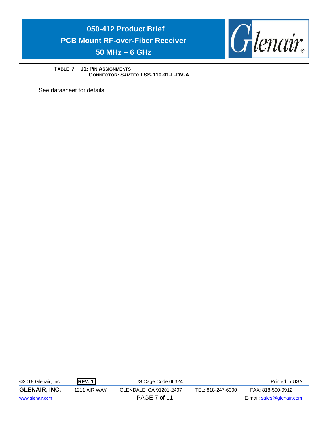

**TABLE 7 J1: PIN ASSIGNMENTS CONNECTOR: SAMTEC LSS-110-01-L-DV-A** 

See datasheet for details

©2018 Glenair, Inc. **REV: 1** US Cage Code 06324 Printed in USA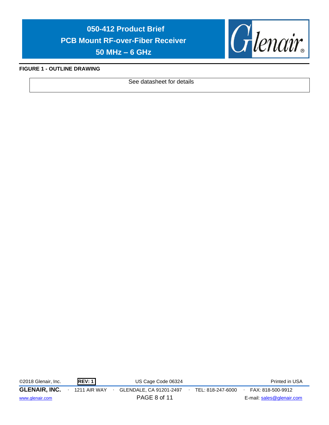

#### **FIGURE 1 - OUTLINE DRAWING**

See datasheet for details

©2018 Glenair, Inc. **REV: 1** US Cage Code 06324 Printed in USA

**GLENAIR, INC.** ∙ 1211 AIR WAY ∙ GLENDALE, CA 91201-2497∙ TEL: 818-247-6000∙ FAX: 818-500-9912

[www.glenair.com](http://www.glenair.com/) **PAGE 8 of 11** E-mail: [sales@glenair.com](mailto:sales@glenair.com)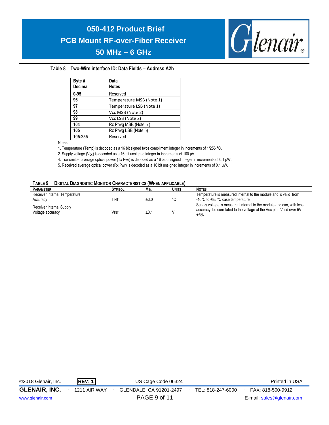

#### **Table 8 Two-Wire interface ID: Data Fields – Address A2h**

| Byte #<br><b>Decimal</b> | Data<br><b>Notes</b>     |
|--------------------------|--------------------------|
| $0 - 95$                 | Reserved                 |
| 96                       | Temperature MSB (Note 1) |
| 97                       | Temperature LSB (Note 1) |
| 98                       | Vcc MSB (Note 2)         |
| 99                       | Vcc LSB (Note 2)         |
| 104                      | Rx Pavg MSB (Note 5)     |
| 105                      | Rx Pavg LSB (Note 5)     |
| 105-255                  | Reserved                 |

Notes:

1. Temperature (Temp) is decoded as a 16 bit signed twos compliment integer in increments of 1/256 °C.

2. Supply voltage (V<sub>cc</sub>) is decoded as a 16 bit unsigned integer in increments of 100 μV.

4. Transmitted average optical power (Tx Pwr) is decoded as a 16 bit unsigned integer in increments of 0.1 μW.

5. Received average optical power (Rx Pwr) is decoded as a 16 bit unsigned integer in increments of 0.1 μW.

#### **TABLE 9 DIGITAL DIAGNOSTIC MONITOR CHARACTERISTICS (WHEN APPLICABLE)**

| <b>PARAMETER</b>              | <b>SYMBOL</b> | MIN. | <b>UNITS</b> | <b>NOTES</b>                                                                |
|-------------------------------|---------------|------|--------------|-----------------------------------------------------------------------------|
| Receiver Internal Temperature |               |      |              | Temperature is measured internal to the module and is valid from            |
| Accuracy                      | Γιντ          | ±3.0 | $\sim$       | -40°C to +85 °C case temperature                                            |
| Receiver Internal Supply      |               |      |              | Supply voltage is measured internal to the module and can, with less        |
| Voltage accuracy              | <b>VINT</b>   | ±0.1 |              | accuracy, be correlated to the voltage at the Vcc pin. Valid over 5V<br>±5% |

| ©2018 Glenair, Inc.  | REV:1        | US Cage Code 06324      |                   | Printed in USA            |
|----------------------|--------------|-------------------------|-------------------|---------------------------|
| <b>GLENAIR, INC.</b> | 1211 AIR WAY | GLENDALE, CA 91201-2497 | TEL: 818-247-6000 | FAX: 818-500-9912         |
| www.glenair.com      |              | PAGE 9 of 11            |                   | E-mail: sales@glenair.com |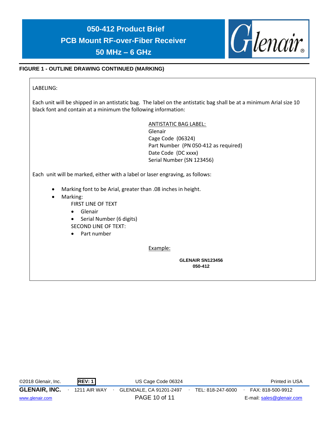

## **FIGURE 1 - OUTLINE DRAWING CONTINUED (MARKING)**

LABELING:

Each unit will be shipped in an antistatic bag. The label on the antistatic bag shall be at a minimum Arial size 10 black font and contain at a minimum the following information:

> ANTISTATIC BAG LABEL: Glenair

Cage Code (06324) Part Number (PN 050-412 as required) Date Code (DC xxxx) Serial Number (SN 123456)

Each unit will be marked, either with a label or laser engraving, as follows:

- Marking font to be Arial, greater than .08 inches in height.
- Marking:
	- FIRST LINE OF TEXT
	- Glenair
	- Serial Number (6 digits) SECOND LINE OF TEXT:
	- Part number

Example:

**GLENAIR SN123456 050-412**

| ©2018 Glenair, Inc.  | REV:1               | US Cage Code 06324      |                   | Printed in USA            |
|----------------------|---------------------|-------------------------|-------------------|---------------------------|
| <b>GLENAIR, INC.</b> | <b>1211 AIR WAY</b> | GLENDALE, CA 91201-2497 | TEL: 818-247-6000 | FAX: 818-500-9912         |
| www.glenair.com      |                     | PAGE 10 of 11           |                   | E-mail: sales@glenair.com |